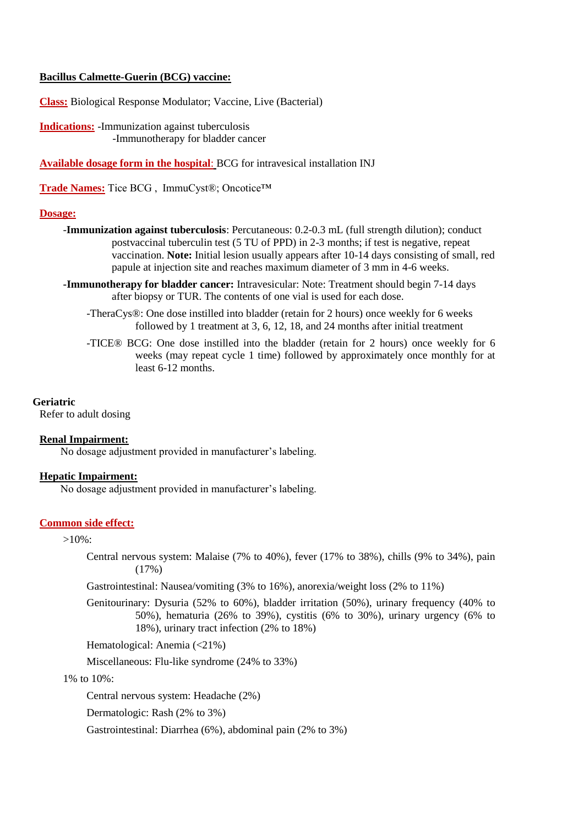## **Bacillus Calmette-Guerin (BCG) vaccine:**

**Class:** Biological Response Modulator; Vaccine, Live (Bacterial)

**Indications:** -Immunization against tuberculosis -Immunotherapy for bladder cancer

**Available dosage form in the hospital**: BCG for intravesical installation INJ

**Trade Names:** Tice BCG , ImmuCyst®; Oncotice™

#### **Dosage:**

- -**Immunization against tuberculosis**: Percutaneous: 0.2-0.3 mL (full strength dilution); conduct postvaccinal tuberculin test (5 TU of PPD) in 2-3 months; if test is negative, repeat vaccination. **Note:** Initial lesion usually appears after 10-14 days consisting of small, red papule at injection site and reaches maximum diameter of 3 mm in 4-6 weeks.
- **-Immunotherapy for bladder cancer:** Intravesicular: Note: Treatment should begin 7-14 days after biopsy or TUR. The contents of one vial is used for each dose.
	- -TheraCys®: One dose instilled into bladder (retain for 2 hours) once weekly for 6 weeks followed by 1 treatment at 3, 6, 12, 18, and 24 months after initial treatment
	- -TICE® BCG: One dose instilled into the bladder (retain for 2 hours) once weekly for 6 weeks (may repeat cycle 1 time) followed by approximately once monthly for at least 6-12 months.

#### **Geriatric**

Refer to adult dosing

#### **Renal Impairment:**

No dosage adjustment provided in manufacturer's labeling.

# **Hepatic Impairment:**

No dosage adjustment provided in manufacturer's labeling.

## **Common side effect:**

 $>10\%$ :

Central nervous system: Malaise (7% to 40%), fever (17% to 38%), chills (9% to 34%), pain (17%)

Gastrointestinal: Nausea/vomiting (3% to 16%), anorexia/weight loss (2% to 11%)

Genitourinary: Dysuria (52% to 60%), bladder irritation (50%), urinary frequency (40% to 50%), hematuria (26% to 39%), cystitis (6% to 30%), urinary urgency (6% to 18%), urinary tract infection (2% to 18%)

Hematological: Anemia (<21%)

Miscellaneous: Flu-like syndrome (24% to 33%)

1% to 10%:

Central nervous system: Headache (2%)

Dermatologic: Rash (2% to 3%)

Gastrointestinal: Diarrhea (6%), abdominal pain (2% to 3%)